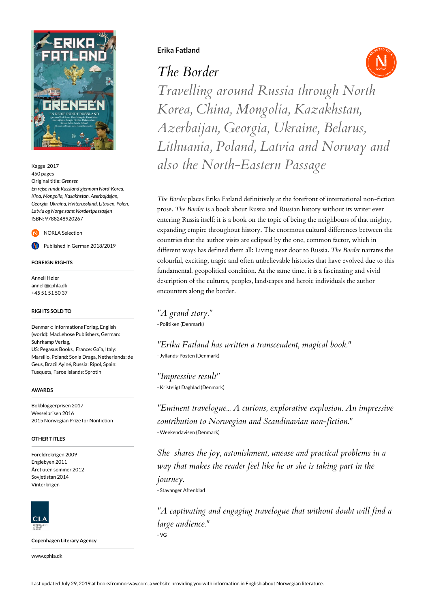

Kagge 2017 450 pages Original title: *Grensen En rejse rundt Russland gjennom Nord-Korea, Kina, Mongolia, Kasakhstan, Aserbajdsjan, Georgia, Ukraina, Hviterussland, Litauen, Polen, Latvia og Norge samt Nordøstpassasjen* ISBN: 9788248920267

NORLA Selection

Published in German 2018/2019

### **FOREIGN RIGHTS**

Anneli Høier anneli@cphla.dk +45 51 51 50 37

#### **RIGHTS SOLD TO**

Denmark: Informations Forlag, English (world): MacLehose Publishers, German: Suhrkamp Verlag, US: Pegasus Books, France: Gaïa, Italy: Marsilio, Poland: Sonia Draga, Netherlands: de Geus, Brazil Ayiné, Russia: Ripol, Spain: Tusquets, Faroe Islands: Sprotin

#### **AWARDS**

Bokbloggerprisen 2017 Wesselprisen 2016 2015 Norwegian Prize for Nonfiction

## **OTHER TITLES**

Foreldrekrigen 2009 Englebyen 2011 Året uten sommer 2012 Sovietistan 2014 Vinterkrigen



**Copenhagen Literary Agency**

www.cphla.dk

## **Erika Fatland**

*The Border*



*Travelling around Russia through North Korea, China, Mongolia, Kazakhstan, Azerbaijan, Georgia, Ukraine, Belarus, Lithuania, Poland, Latvia and Norway and also the North-Eastern Passage*

*The Border* places Erika Fatland definitively at the forefront of international non-fiction prose. *The Border* is a book about Russia and Russian history without its writer ever entering Russia itself; it is a book on the topic of being the neighbours of that mighty, expanding empire throughout history. The enormous cultural differences between the countries that the author visits are eclipsed by the one, common factor, which in different ways has defined them all: Living next door to Russia. *The Border* narrates the colourful, exciting, tragic and often unbelievable histories that have evolved due to this fundamental, geopolitical condition. At the same time, it is a fascinating and vivid description of the cultures, peoples, landscapes and heroic individuals the author encounters along the border.

*"A grand story."* - Politiken (Denmark)

*"Erika Fatland has written a transcendent, magical book."* - Jyllands-Posten (Denmark)

*"Impressive result"* - Kristeligt Dagblad (Denmark)

*"Eminent travelogue... A curious, explorative explosion. An impressive contribution to Norwegian and Scandinavian non-fiction."* - Weekendavisen (Denmark)

*She shares the joy, astonishment, unease and practical problems in a way that makes the reader feel like he or she is taking part in the journey.* - Stavanger Aftenblad

*"A captivating and engaging travelogue that without doubt will find a large audience."* - VG